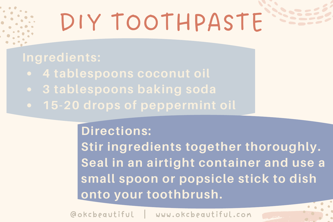# DIY TOOTHPASTE

- 
- 
- 

#### **Directions:**

**Stir ingredients together thoroughly. Seal in an airtight container and use a small spoon or popsicle stick to dish onto your toothbrush.**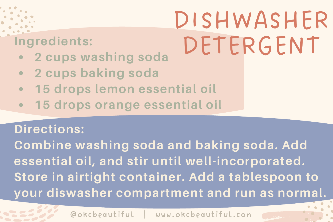

# DISHWASHER DETERGENT

- **2 cups washing soda**
- **2 cups baking soda**
- **15 drops lemon essential oil**
- **15 drops orange essential oil**

#### **Directions:**

**Combine washing soda and baking soda. Add essential oil, and stir until well-incorporated. Store in airtight container. Add a tablespoon to your diswasher compartment and run as normal.**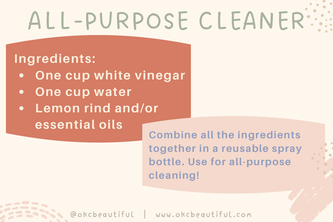# ALL-PURPOSE CLEANER

#### **Ingredients:**

- **One cup white vinegar**
- **One cup water** ٠
- **Lemon rind and/or** ė **essential oils**

**Combine all the ingredients together in a reusable spray bottle. Use for all-purpose cleaning!**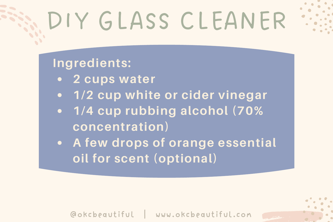# DIY GLASS CLEANER

#### **Ingredients:**

- **2 cups water**
- **1/2 cup white or cider vinegar**
- **1/4 cup rubbing alcohol (70% concentration)**
- **A few drops of orange essential oil for scent (optional)**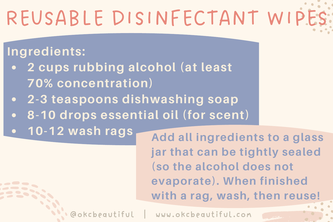## REUSABLE DISINFECTANT WIP!

### **Ingredients:**

- **2 cups rubbing alcohol (at least 70% concentration)**
- **2-3 teaspoons dishwashing soap**
- **8-10 drops essential oil (for scent)**
- **10-12 wash rags**

**Add all ingredients to a glass jar that can be tightly sealed (so the alcohol does not evaporate). When finished with a rag, wash, then reuse!**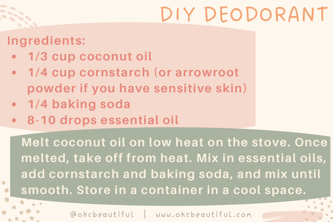### DIY DEODORANT

#### **Ingredients:**

- **1/3 cup coconut oil**
- **1/4 cup cornstarch (or arrowroot powder if you have sensitive skin)**
- **1/4 baking soda**
- **8-10 drops essential oil**

**Melt coconut oil on low heat on the stove. Once melted, take off from heat. Mix in essential oils, add cornstarch and baking soda, and mix until smooth. Store in a container in a cool space.**